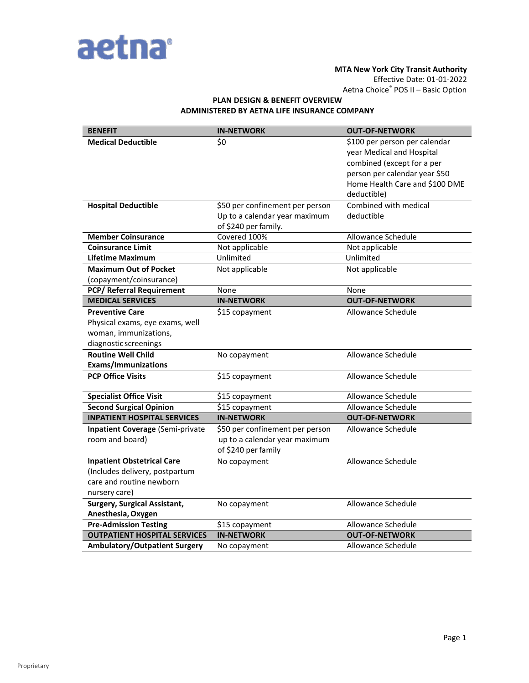

### **MTA New York City Transit Authority**

Effective Date: 01-01-2022

Aetna Choice® POS II – Basic Option

# **PLAN DESIGN & BENEFIT OVERVIEW ADMINISTERED BY AETNA LIFE INSURANCE COMPANY**

| <b>BENEFIT</b>                                                                                                   | <b>IN-NETWORK</b>                                                                        | <b>OUT-OF-NETWORK</b>                                                                                                                                                      |
|------------------------------------------------------------------------------------------------------------------|------------------------------------------------------------------------------------------|----------------------------------------------------------------------------------------------------------------------------------------------------------------------------|
| <b>Medical Deductible</b>                                                                                        | \$0                                                                                      | \$100 per person per calendar<br>year Medical and Hospital<br>combined (except for a per<br>person per calendar year \$50<br>Home Health Care and \$100 DME<br>deductible) |
| <b>Hospital Deductible</b>                                                                                       | \$50 per confinement per person<br>Up to a calendar year maximum<br>of \$240 per family. | Combined with medical<br>deductible                                                                                                                                        |
| <b>Member Coinsurance</b>                                                                                        | Covered 100%                                                                             | Allowance Schedule                                                                                                                                                         |
| <b>Coinsurance Limit</b>                                                                                         | Not applicable                                                                           | Not applicable                                                                                                                                                             |
| <b>Lifetime Maximum</b>                                                                                          | Unlimited                                                                                | Unlimited                                                                                                                                                                  |
| <b>Maximum Out of Pocket</b><br>(copayment/coinsurance)                                                          | Not applicable                                                                           | Not applicable                                                                                                                                                             |
| <b>PCP/ Referral Requirement</b>                                                                                 | None                                                                                     | None                                                                                                                                                                       |
| <b>MEDICAL SERVICES</b>                                                                                          | <b>IN-NETWORK</b>                                                                        | <b>OUT-OF-NETWORK</b>                                                                                                                                                      |
| <b>Preventive Care</b><br>Physical exams, eye exams, well<br>woman, immunizations,<br>diagnostic screenings      | \$15 copayment                                                                           | Allowance Schedule                                                                                                                                                         |
| <b>Routine Well Child</b><br><b>Exams/Immunizations</b>                                                          | No copayment                                                                             | Allowance Schedule                                                                                                                                                         |
| <b>PCP Office Visits</b>                                                                                         | \$15 copayment                                                                           | Allowance Schedule                                                                                                                                                         |
| <b>Specialist Office Visit</b>                                                                                   | \$15 copayment                                                                           | Allowance Schedule                                                                                                                                                         |
| <b>Second Surgical Opinion</b>                                                                                   | \$15 copayment                                                                           | Allowance Schedule                                                                                                                                                         |
| <b>INPATIENT HOSPITAL SERVICES</b>                                                                               | <b>IN-NETWORK</b>                                                                        | <b>OUT-OF-NETWORK</b>                                                                                                                                                      |
| <b>Inpatient Coverage (Semi-private</b><br>room and board)                                                       | \$50 per confinement per person<br>up to a calendar year maximum<br>of \$240 per family  | Allowance Schedule                                                                                                                                                         |
| <b>Inpatient Obstetrical Care</b><br>(Includes delivery, postpartum<br>care and routine newborn<br>nursery care) | No copayment                                                                             | Allowance Schedule                                                                                                                                                         |
| <b>Surgery, Surgical Assistant,</b><br>Anesthesia, Oxygen                                                        | No copayment                                                                             | Allowance Schedule                                                                                                                                                         |
| <b>Pre-Admission Testing</b>                                                                                     | \$15 copayment                                                                           | Allowance Schedule                                                                                                                                                         |
| <b>OUTPATIENT HOSPITAL SERVICES</b>                                                                              | <b>IN-NETWORK</b>                                                                        | <b>OUT-OF-NETWORK</b>                                                                                                                                                      |
| <b>Ambulatory/Outpatient Surgery</b>                                                                             | No copayment                                                                             | Allowance Schedule                                                                                                                                                         |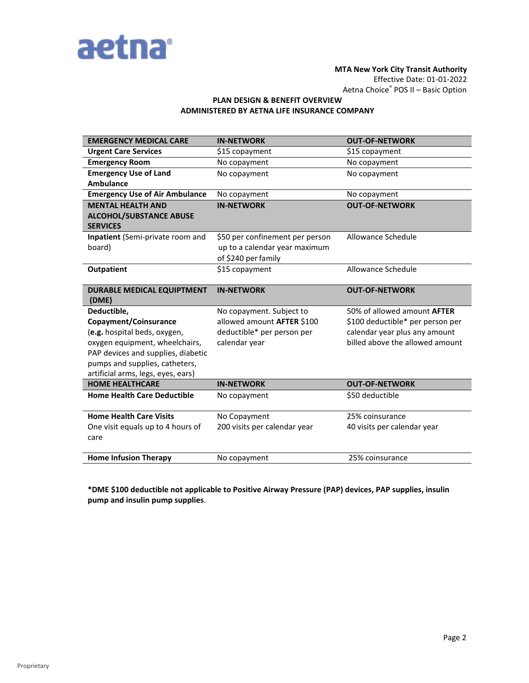

# **MTA New York City Transit Authority** Effective Date: 01-01-2022 Aetna Choice® POS II – Basic Option

# **PLAN DESIGN & BENEFIT OVERVIEW ADMINISTERED BY AETNA LIFE INSURANCE COMPANY**

| <b>EMERGENCY MEDICAL CARE</b>                     | <b>IN-NETWORK</b>               | <b>OUT-OF-NETWORK</b>              |
|---------------------------------------------------|---------------------------------|------------------------------------|
| <b>Urgent Care Services</b>                       | \$15 copayment                  | \$15 copayment                     |
| <b>Emergency Room</b>                             | No copayment                    | No copayment                       |
| <b>Emergency Use of Land</b>                      | No copayment                    | No copayment                       |
| <b>Ambulance</b>                                  |                                 |                                    |
| <b>Emergency Use of Air Ambulance</b>             | No copayment                    | No copayment                       |
| <b>MENTAL HEALTH AND</b>                          | <b>IN-NETWORK</b>               | <b>OUT-OF-NETWORK</b>              |
| <b>ALCOHOL/SUBSTANCE ABUSE</b><br><b>SERVICES</b> |                                 |                                    |
| Inpatient (Semi-private room and                  | \$50 per confinement per person | Allowance Schedule                 |
| board)                                            | up to a calendar year maximum   |                                    |
|                                                   | of \$240 per family             |                                    |
| Outpatient                                        | \$15 copayment                  | Allowance Schedule                 |
| <b>DURABLE MEDICAL EQUIPTMENT</b><br>(DME)        | <b>IN-NETWORK</b>               | <b>OUT-OF-NETWORK</b>              |
| Deductible,                                       | No copayment. Subject to        | 50% of allowed amount <b>AFTER</b> |
| Copayment/Coinsurance                             | allowed amount AFTER \$100      | \$100 deductible* per person per   |
| (e.g. hospital beds, oxygen,                      | deductible* per person per      | calendar year plus any amount      |
| oxygen equipment, wheelchairs,                    | calendar year                   | billed above the allowed amount    |
| PAP devices and supplies, diabetic                |                                 |                                    |
| pumps and supplies, catheters,                    |                                 |                                    |
| artificial arms, legs, eyes, ears)                |                                 |                                    |
| <b>HOME HEALTHCARE</b>                            | <b>IN-NETWORK</b>               | <b>OUT-OF-NETWORK</b>              |
| <b>Home Health Care Deductible</b>                | No copayment                    | \$50 deductible                    |
| <b>Home Health Care Visits</b>                    | No Copayment                    | 25% coinsurance                    |
| One visit equals up to 4 hours of                 | 200 visits per calendar year    | 40 visits per calendar year        |
| care                                              |                                 |                                    |
|                                                   |                                 |                                    |
| <b>Home Infusion Therapy</b>                      | No copayment                    | 25% coinsurance                    |

**\*DME \$100 deductible not applicable to Positive Airway Pressure (PAP) devices, PAP supplies, insulin pump and insulin pump supplies**.